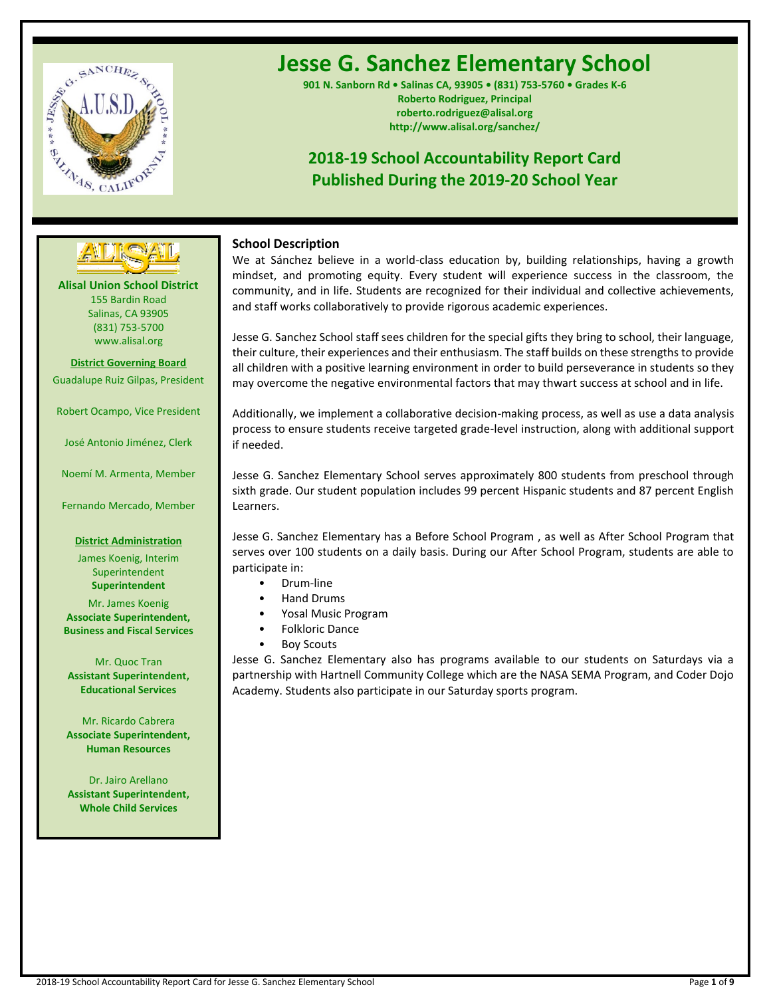

# **Jesse G. Sanchez Elementary School**

**901 N. Sanborn Rd • Salinas CA, 93905 • (831) 753-5760 • Grades K-6 Roberto Rodriguez, Principal roberto.rodriguez@alisal.org http://www.alisal.org/sanchez/**

## **2018-19 School Accountability Report Card Published During the 2019-20 School Year**



**Alisal Union School District** 155 Bardin Road Salinas, CA 93905 (831) 753-5700 www.alisal.org

**District Governing Board** Guadalupe Ruiz Gilpas, President

Robert Ocampo, Vice President

José Antonio Jiménez, Clerk

Noemí M. Armenta, Member

Fernando Mercado, Member

## **District Administration**

James Koenig, Interim Superintendent **Superintendent** Mr. James Koenig

**Associate Superintendent, Business and Fiscal Services**

Mr. Quoc Tran **Assistant Superintendent, Educational Services**

Mr. Ricardo Cabrera **Associate Superintendent, Human Resources**

Dr. Jairo Arellano **Assistant Superintendent, Whole Child Services**

## **School Description**

We at Sánchez believe in a world-class education by, building relationships, having a growth mindset, and promoting equity. Every student will experience success in the classroom, the community, and in life. Students are recognized for their individual and collective achievements, and staff works collaboratively to provide rigorous academic experiences.

Jesse G. Sanchez School staff sees children for the special gifts they bring to school, their language, their culture, their experiences and their enthusiasm. The staff builds on these strengths to provide all children with a positive learning environment in order to build perseverance in students so they may overcome the negative environmental factors that may thwart success at school and in life.

Additionally, we implement a collaborative decision-making process, as well as use a data analysis process to ensure students receive targeted grade-level instruction, along with additional support if needed.

Jesse G. Sanchez Elementary School serves approximately 800 students from preschool through sixth grade. Our student population includes 99 percent Hispanic students and 87 percent English Learners.

Jesse G. Sanchez Elementary has a Before School Program , as well as After School Program that serves over 100 students on a daily basis. During our After School Program, students are able to participate in:

- Drum-line
- Hand Drums
- Yosal Music Program
- Folkloric Dance
- **Boy Scouts**

Jesse G. Sanchez Elementary also has programs available to our students on Saturdays via a partnership with Hartnell Community College which are the NASA SEMA Program, and Coder Dojo Academy. Students also participate in our Saturday sports program.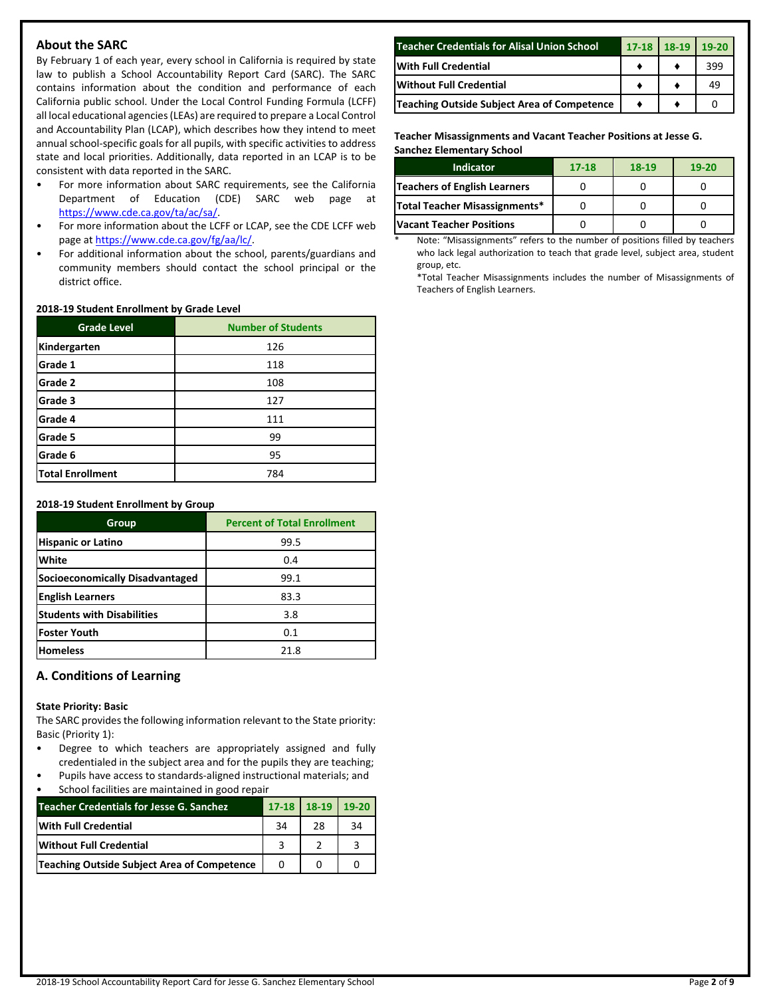## **About the SARC**

By February 1 of each year, every school in California is required by state law to publish a School Accountability Report Card (SARC). The SARC contains information about the condition and performance of each California public school. Under the Local Control Funding Formula (LCFF) all local educational agencies (LEAs) are required to prepare a Local Control and Accountability Plan (LCAP), which describes how they intend to meet annual school-specific goals for all pupils, with specific activities to address state and local priorities. Additionally, data reported in an LCAP is to be consistent with data reported in the SARC.

- For more information about SARC requirements, see the California Department of Education (CDE) SARC web page at [https://www.cde.ca.gov/ta/ac/sa/.](https://www.cde.ca.gov/ta/ac/sa/)
- For more information about the LCFF or LCAP, see the CDE LCFF web page at [https://www.cde.ca.gov/fg/aa/lc/.](https://www.cde.ca.gov/fg/aa/lc/)
- For additional information about the school, parents/guardians and community members should contact the school principal or the district office.

## **2018-19 Student Enrollment by Grade Level**

| <b>Grade Level</b>      | <b>Number of Students</b> |  |  |  |
|-------------------------|---------------------------|--|--|--|
| Kindergarten            | 126                       |  |  |  |
| Grade 1                 | 118                       |  |  |  |
| Grade 2                 | 108                       |  |  |  |
| Grade 3                 | 127                       |  |  |  |
| Grade 4                 | 111                       |  |  |  |
| Grade 5                 | 99                        |  |  |  |
| Grade 6                 | 95                        |  |  |  |
| <b>Total Enrollment</b> | 784                       |  |  |  |

#### **2018-19 Student Enrollment by Group**

| Group                                  | <b>Percent of Total Enrollment</b> |
|----------------------------------------|------------------------------------|
| <b>Hispanic or Latino</b>              | 99.5                               |
| White                                  | 0.4                                |
| <b>Socioeconomically Disadvantaged</b> | 99.1                               |
| <b>English Learners</b>                | 83.3                               |
| <b>Students with Disabilities</b>      | 3.8                                |
| lFoster Youth                          | 0.1                                |
| <b>Homeless</b>                        | 21.8                               |

## **A. Conditions of Learning**

#### **State Priority: Basic**

The SARC provides the following information relevant to the State priority: Basic (Priority 1):

- Degree to which teachers are appropriately assigned and fully credentialed in the subject area and for the pupils they are teaching;
- Pupils have access to standards-aligned instructional materials; and School facilities are maintained in good repair

| Teacher Credentials for Jesse G. Sanchez    |    | 17-18 18-19 | $19-20$ |
|---------------------------------------------|----|-------------|---------|
| <b>With Full Credential</b>                 | 34 | 28          | 34      |
| <b>Without Full Credential</b>              |    |             |         |
| Teaching Outside Subject Area of Competence |    |             |         |

| Teacher Credentials for Alisal Union School | $17 - 18$ | 18-19 | $19-20$ |
|---------------------------------------------|-----------|-------|---------|
| <b>With Full Credential</b>                 |           |       | 399     |
| <b>Without Full Credential</b>              |           |       | 49      |
| Teaching Outside Subject Area of Competence |           |       |         |

**Teacher Misassignments and Vacant Teacher Positions at Jesse G. Sanchez Elementary School**

| <b>Indicator</b>                | $17 - 18$ | 18-19 | $19-20$ |
|---------------------------------|-----------|-------|---------|
| Teachers of English Learners    |           |       |         |
| Total Teacher Misassignments*   |           |       |         |
| <b>Vacant Teacher Positions</b> |           |       |         |

Note: "Misassignments" refers to the number of positions filled by teachers who lack legal authorization to teach that grade level, subject area, student group, etc.

\*Total Teacher Misassignments includes the number of Misassignments of Teachers of English Learners.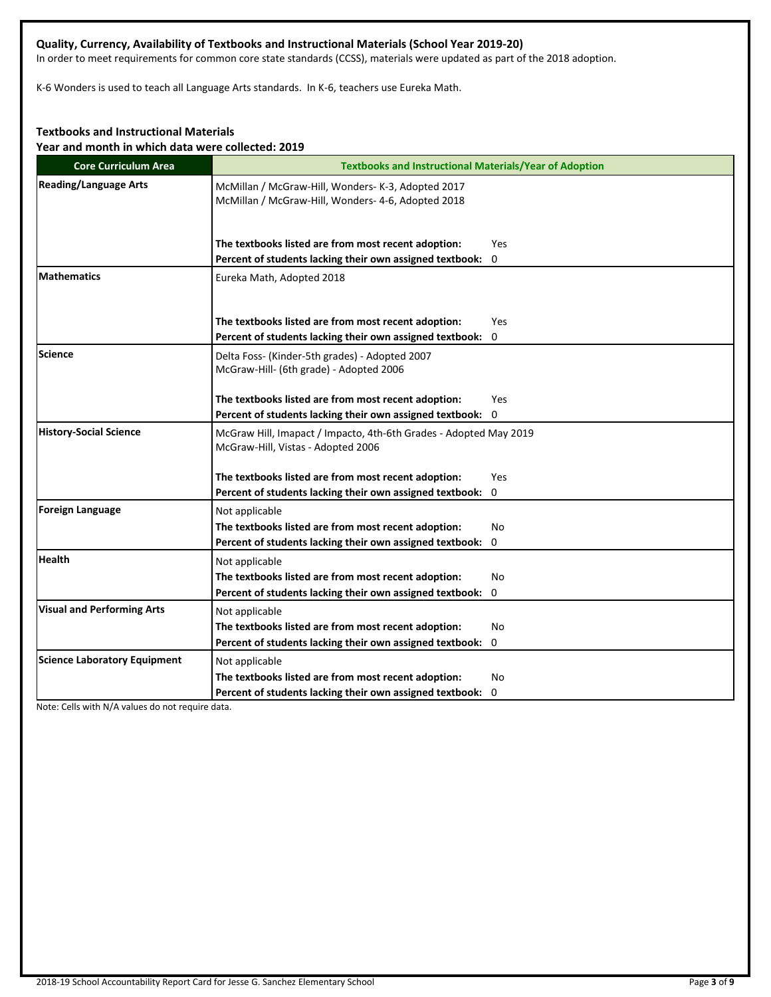## **Quality, Currency, Availability of Textbooks and Instructional Materials (School Year 2019-20)**

In order to meet requirements for common core state standards (CCSS), materials were updated as part of the 2018 adoption.

K-6 Wonders is used to teach all Language Arts standards. In K-6, teachers use Eureka Math.

## **Textbooks and Instructional Materials**

**Year and month in which data were collected: 2019**

| <b>Core Curriculum Area</b>         | <b>Textbooks and Instructional Materials/Year of Adoption</b>                                            |
|-------------------------------------|----------------------------------------------------------------------------------------------------------|
| <b>Reading/Language Arts</b>        | McMillan / McGraw-Hill, Wonders- K-3, Adopted 2017<br>McMillan / McGraw-Hill, Wonders- 4-6, Adopted 2018 |
|                                     | The textbooks listed are from most recent adoption:<br>Yes                                               |
|                                     | Percent of students lacking their own assigned textbook: 0                                               |
| <b>Mathematics</b>                  | Eureka Math, Adopted 2018                                                                                |
|                                     | The textbooks listed are from most recent adoption:<br>Yes                                               |
|                                     | Percent of students lacking their own assigned textbook:<br>0                                            |
| Science                             | Delta Foss- (Kinder-5th grades) - Adopted 2007<br>McGraw-Hill- (6th grade) - Adopted 2006                |
|                                     | The textbooks listed are from most recent adoption:<br>Yes                                               |
|                                     | Percent of students lacking their own assigned textbook: 0                                               |
| <b>History-Social Science</b>       | McGraw Hill, Imapact / Impacto, 4th-6th Grades - Adopted May 2019<br>McGraw-Hill, Vistas - Adopted 2006  |
|                                     | The textbooks listed are from most recent adoption:<br>Yes                                               |
|                                     | Percent of students lacking their own assigned textbook: 0                                               |
| Foreign Language                    | Not applicable                                                                                           |
|                                     | The textbooks listed are from most recent adoption:<br>No                                                |
|                                     | Percent of students lacking their own assigned textbook:<br>0                                            |
| <b>Health</b>                       | Not applicable                                                                                           |
|                                     | The textbooks listed are from most recent adoption:<br>No                                                |
|                                     | Percent of students lacking their own assigned textbook: 0                                               |
| <b>Visual and Performing Arts</b>   | Not applicable                                                                                           |
|                                     | The textbooks listed are from most recent adoption:<br>No                                                |
|                                     | Percent of students lacking their own assigned textbook: 0                                               |
| <b>Science Laboratory Equipment</b> | Not applicable                                                                                           |
|                                     | The textbooks listed are from most recent adoption:<br>No                                                |
|                                     | Percent of students lacking their own assigned textbook: 0                                               |

Note: Cells with N/A values do not require data.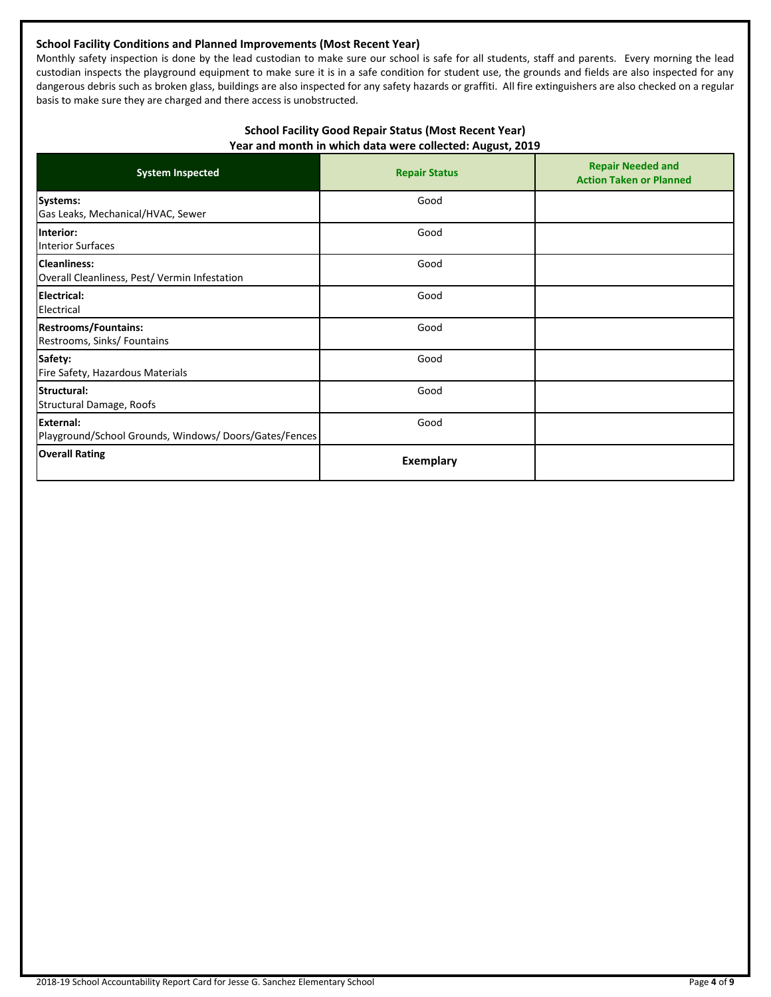## **School Facility Conditions and Planned Improvements (Most Recent Year)**

Monthly safety inspection is done by the lead custodian to make sure our school is safe for all students, staff and parents. Every morning the lead custodian inspects the playground equipment to make sure it is in a safe condition for student use, the grounds and fields are also inspected for any dangerous debris such as broken glass, buildings are also inspected for any safety hazards or graffiti. All fire extinguishers are also checked on a regular basis to make sure they are charged and there access is unobstructed.

## **School Facility Good Repair Status (Most Recent Year) Year and month in which data were collected: August, 2019**

| <b>System Inspected</b>                                                    | <b>Repair Status</b> | <b>Repair Needed and</b><br><b>Action Taken or Planned</b> |
|----------------------------------------------------------------------------|----------------------|------------------------------------------------------------|
| Systems:<br>Gas Leaks, Mechanical/HVAC, Sewer                              | Good                 |                                                            |
| Interior:<br><b>Interior Surfaces</b>                                      | Good                 |                                                            |
| <b>Cleanliness:</b><br>Overall Cleanliness, Pest/ Vermin Infestation       | Good                 |                                                            |
| <b>Electrical:</b><br>Electrical                                           | Good                 |                                                            |
| <b>Restrooms/Fountains:</b><br>Restrooms, Sinks/ Fountains                 | Good                 |                                                            |
| Safety:<br>Fire Safety, Hazardous Materials                                | Good                 |                                                            |
| Structural:<br>Structural Damage, Roofs                                    | Good                 |                                                            |
| <b>External:</b><br>Playground/School Grounds, Windows/ Doors/Gates/Fences | Good                 |                                                            |
| <b>Overall Rating</b>                                                      | Exemplary            |                                                            |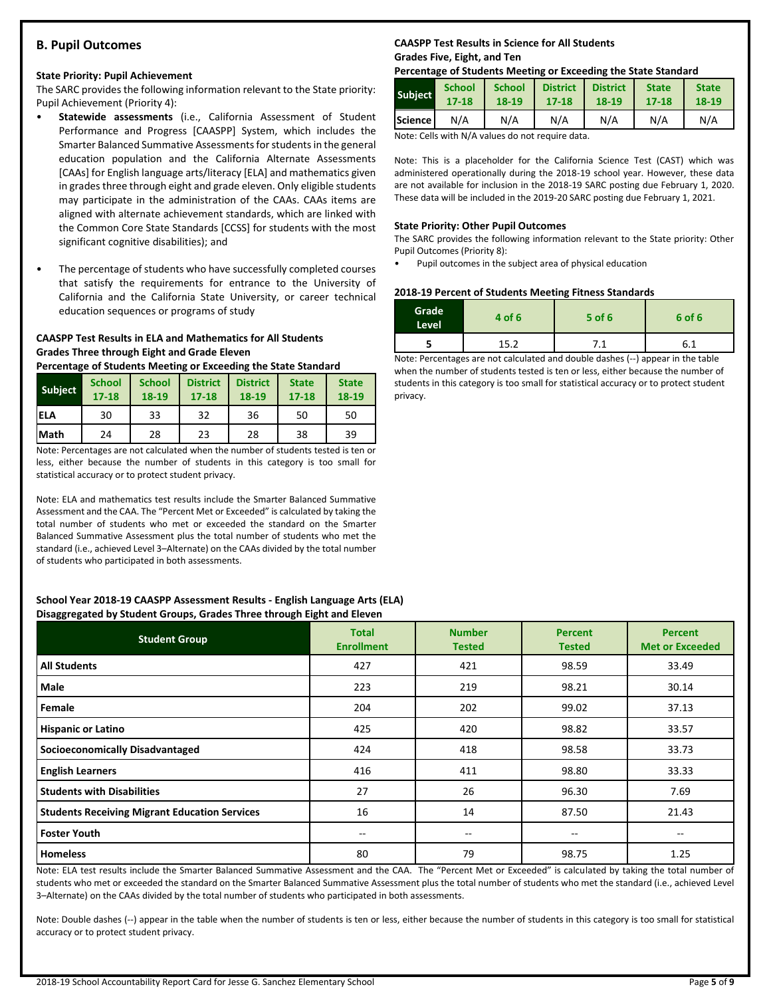## **B. Pupil Outcomes**

#### **State Priority: Pupil Achievement**

The SARC provides the following information relevant to the State priority: Pupil Achievement (Priority 4):

- **Statewide assessments** (i.e., California Assessment of Student Performance and Progress [CAASPP] System, which includes the Smarter Balanced Summative Assessments for students in the general education population and the California Alternate Assessments [CAAs] for English language arts/literacy [ELA] and mathematics given in grades three through eight and grade eleven. Only eligible students may participate in the administration of the CAAs. CAAs items are aligned with alternate achievement standards, which are linked with the Common Core State Standards [CCSS] for students with the most significant cognitive disabilities); and
- The percentage of students who have successfully completed courses that satisfy the requirements for entrance to the University of California and the California State University, or career technical education sequences or programs of study

## **CAASPP Test Results in ELA and Mathematics for All Students Grades Three through Eight and Grade Eleven**

**Percentage of Students Meeting or Exceeding the State Standard**

| <b>Subject</b> | <b>School</b><br>$17 - 18$ | <b>School</b><br>18-19 | <b>District</b><br>$17 - 18$ | <b>District</b><br>18-19 | <b>State</b><br>$17 - 18$ | <b>State</b><br>18-19 |
|----------------|----------------------------|------------------------|------------------------------|--------------------------|---------------------------|-----------------------|
| <b>IELA</b>    | 30                         | 33                     | 32                           | 36                       | 50                        | 50                    |
| <b>Math</b>    | 24                         | 28                     | 23                           | 28                       | 38                        | 39                    |

Note: Percentages are not calculated when the number of students tested is ten or less, either because the number of students in this category is too small for statistical accuracy or to protect student privacy.

Note: ELA and mathematics test results include the Smarter Balanced Summative Assessment and the CAA. The "Percent Met or Exceeded" is calculated by taking the total number of students who met or exceeded the standard on the Smarter Balanced Summative Assessment plus the total number of students who met the standard (i.e., achieved Level 3–Alternate) on the CAAs divided by the total number of students who participated in both assessments.

#### **School Year 2018-19 CAASPP Assessment Results - English Language Arts (ELA) Disaggregated by Student Groups, Grades Three through Eight and Eleven**

| <b>Student Group</b>                                 | <b>Total</b><br><b>Enrollment</b> | <b>Number</b><br><b>Tested</b> | <b>Percent</b><br><b>Tested</b> | <b>Percent</b><br><b>Met or Exceeded</b> |
|------------------------------------------------------|-----------------------------------|--------------------------------|---------------------------------|------------------------------------------|
| <b>All Students</b>                                  | 427                               | 421                            | 98.59                           | 33.49                                    |
| Male                                                 | 223                               | 219                            | 98.21                           | 30.14                                    |
| Female                                               | 204                               | 202                            | 99.02                           | 37.13                                    |
| <b>Hispanic or Latino</b>                            | 425                               | 420                            | 98.82                           | 33.57                                    |
| <b>Socioeconomically Disadvantaged</b>               | 424                               | 418                            | 98.58                           | 33.73                                    |
| <b>English Learners</b>                              | 416                               | 411                            | 98.80                           | 33.33                                    |
| <b>Students with Disabilities</b>                    | 27                                | 26                             | 96.30                           | 7.69                                     |
| <b>Students Receiving Migrant Education Services</b> | 16                                | 14                             | 87.50                           | 21.43                                    |
| <b>Foster Youth</b>                                  | --                                | --                             | --                              | --                                       |
| <b>Homeless</b>                                      | 80                                | 79                             | 98.75                           | 1.25                                     |

Note: ELA test results include the Smarter Balanced Summative Assessment and the CAA. The "Percent Met or Exceeded" is calculated by taking the total number of students who met or exceeded the standard on the Smarter Balanced Summative Assessment plus the total number of students who met the standard (i.e., achieved Level 3–Alternate) on the CAAs divided by the total number of students who participated in both assessments.

Note: Double dashes (--) appear in the table when the number of students is ten or less, either because the number of students in this category is too small for statistical accuracy or to protect student privacy.

## **CAASPP Test Results in Science for All Students Grades Five, Eight, and Ten**

#### **Percentage of Students Meeting or Exceeding the State Standard**

| <b>Subject</b>  | <b>School</b> | <b>School</b> | <b>District</b> | <b>District</b> | <b>State</b> | <b>State</b> |
|-----------------|---------------|---------------|-----------------|-----------------|--------------|--------------|
|                 | $17 - 18$     | 18-19         | 17-18           | 18-19           | 17-18        | 18-19        |
| <b>IScience</b> | N/A           | N/A           | N/A             | N/A             | N/A          | N/A          |

Note: Cells with N/A values do not require data.

Note: This is a placeholder for the California Science Test (CAST) which was administered operationally during the 2018-19 school year. However, these data are not available for inclusion in the 2018-19 SARC posting due February 1, 2020. These data will be included in the 2019-20 SARC posting due February 1, 2021.

#### **State Priority: Other Pupil Outcomes**

The SARC provides the following information relevant to the State priority: Other Pupil Outcomes (Priority 8):

• Pupil outcomes in the subject area of physical education

#### **2018-19 Percent of Students Meeting Fitness Standards**

| Grade<br>Level | 4 of 6 | $5$ of 6 | 6 of 6 |
|----------------|--------|----------|--------|
|                | 15つ    | <b>A</b> | 6.1    |

Note: Percentages are not calculated and double dashes (--) appear in the table when the number of students tested is ten or less, either because the number of students in this category is too small for statistical accuracy or to protect student privacy.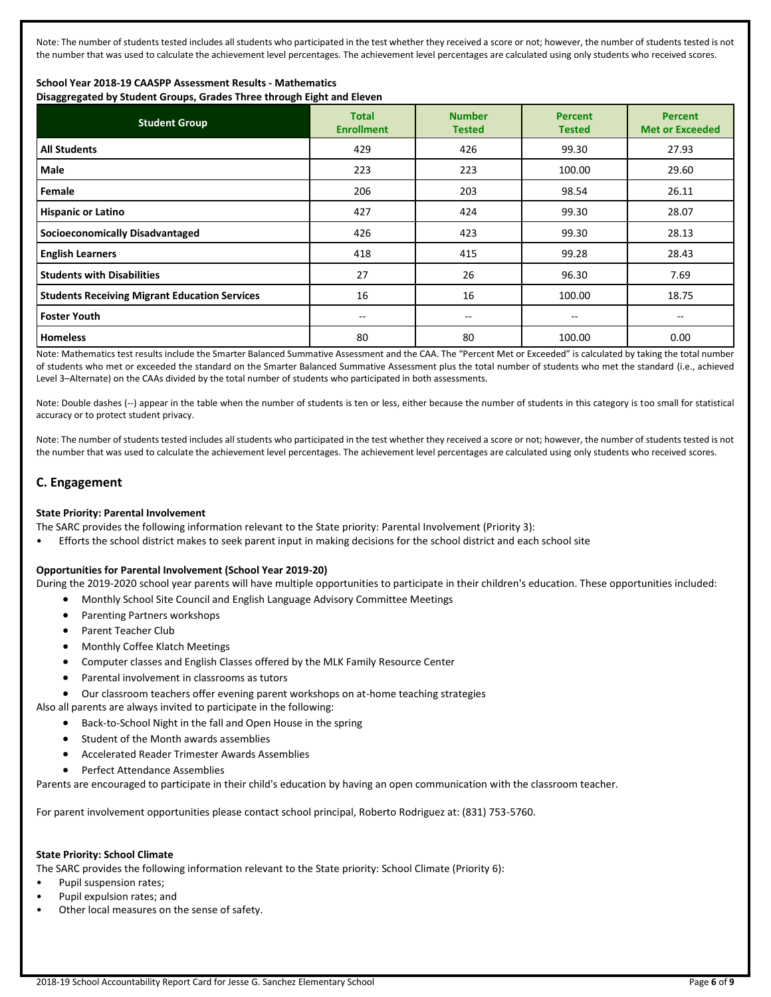Note: The number of students tested includes all students who participated in the test whether they received a score or not; however, the number of students tested is not the number that was used to calculate the achievement level percentages. The achievement level percentages are calculated using only students who received scores.

## **School Year 2018-19 CAASPP Assessment Results - Mathematics**

**Disaggregated by Student Groups, Grades Three through Eight and Eleven**

| <b>Student Group</b>                                 | <b>Total</b><br><b>Enrollment</b> | <b>Number</b><br><b>Tested</b> | <b>Percent</b><br><b>Tested</b> | <b>Percent</b><br><b>Met or Exceeded</b> |
|------------------------------------------------------|-----------------------------------|--------------------------------|---------------------------------|------------------------------------------|
| <b>All Students</b>                                  | 429                               | 426                            | 99.30                           | 27.93                                    |
| Male                                                 | 223                               | 223                            | 100.00                          | 29.60                                    |
| Female                                               | 206                               | 203                            | 98.54                           | 26.11                                    |
| <b>Hispanic or Latino</b>                            | 427                               | 424                            | 99.30                           | 28.07                                    |
| <b>Socioeconomically Disadvantaged</b>               | 426                               | 423                            | 99.30                           | 28.13                                    |
| <b>English Learners</b>                              | 418                               | 415                            | 99.28                           | 28.43                                    |
| <b>Students with Disabilities</b>                    | 27                                | 26                             | 96.30                           | 7.69                                     |
| <b>Students Receiving Migrant Education Services</b> | 16                                | 16                             | 100.00                          | 18.75                                    |
| <b>Foster Youth</b>                                  | $- -$                             | $\qquad \qquad -$              | $\qquad \qquad -$               | --                                       |
| <b>Homeless</b>                                      | 80                                | 80                             | 100.00                          | 0.00                                     |

Note: Mathematics test results include the Smarter Balanced Summative Assessment and the CAA. The "Percent Met or Exceeded" is calculated by taking the total number of students who met or exceeded the standard on the Smarter Balanced Summative Assessment plus the total number of students who met the standard (i.e., achieved Level 3–Alternate) on the CAAs divided by the total number of students who participated in both assessments.

Note: Double dashes (--) appear in the table when the number of students is ten or less, either because the number of students in this category is too small for statistical accuracy or to protect student privacy.

Note: The number of students tested includes all students who participated in the test whether they received a score or not; however, the number of students tested is not the number that was used to calculate the achievement level percentages. The achievement level percentages are calculated using only students who received scores.

## **C. Engagement**

## **State Priority: Parental Involvement**

The SARC provides the following information relevant to the State priority: Parental Involvement (Priority 3):

• Efforts the school district makes to seek parent input in making decisions for the school district and each school site

## **Opportunities for Parental Involvement (School Year 2019-20)**

During the 2019-2020 school year parents will have multiple opportunities to participate in their children's education. These opportunities included:

- Monthly School Site Council and English Language Advisory Committee Meetings
- Parenting Partners workshops
- Parent Teacher Club
- Monthly Coffee Klatch Meetings
- Computer classes and English Classes offered by the MLK Family Resource Center
- Parental involvement in classrooms as tutors
- Our classroom teachers offer evening parent workshops on at-home teaching strategies

Also all parents are always invited to participate in the following:

- Back-to-School Night in the fall and Open House in the spring
- Student of the Month awards assemblies
- Accelerated Reader Trimester Awards Assemblies
- Perfect Attendance Assemblies

Parents are encouraged to participate in their child's education by having an open communication with the classroom teacher.

For parent involvement opportunities please contact school principal, Roberto Rodriguez at: (831) 753-5760.

## **State Priority: School Climate**

The SARC provides the following information relevant to the State priority: School Climate (Priority 6):

- Pupil suspension rates;
- Pupil expulsion rates; and
- Other local measures on the sense of safety.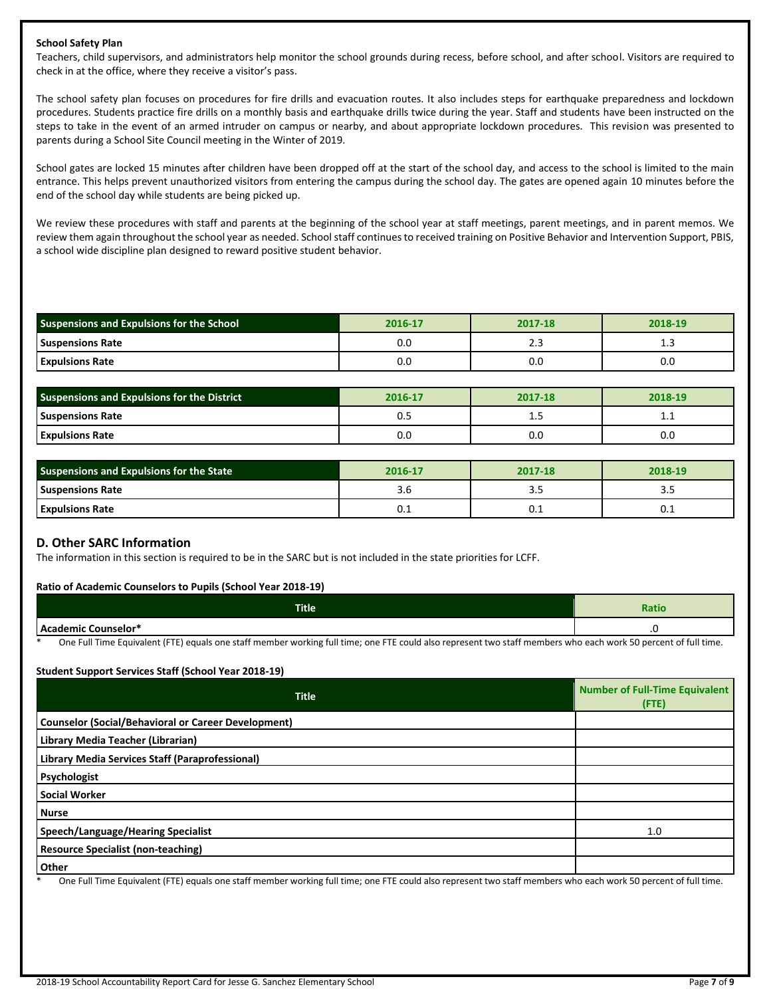## **School Safety Plan**

Teachers, child supervisors, and administrators help monitor the school grounds during recess, before school, and after school. Visitors are required to check in at the office, where they receive a visitor's pass.

The school safety plan focuses on procedures for fire drills and evacuation routes. It also includes steps for earthquake preparedness and lockdown procedures. Students practice fire drills on a monthly basis and earthquake drills twice during the year. Staff and students have been instructed on the steps to take in the event of an armed intruder on campus or nearby, and about appropriate lockdown procedures. This revision was presented to parents during a School Site Council meeting in the Winter of 2019.

School gates are locked 15 minutes after children have been dropped off at the start of the school day, and access to the school is limited to the main entrance. This helps prevent unauthorized visitors from entering the campus during the school day. The gates are opened again 10 minutes before the end of the school day while students are being picked up.

We review these procedures with staff and parents at the beginning of the school year at staff meetings, parent meetings, and in parent memos. We review them again throughout the school year as needed. School staff continues to received training on Positive Behavior and Intervention Support, PBIS, a school wide discipline plan designed to reward positive student behavior.

| Suspensions and Expulsions for the School | 2016-17 | 2017-18 | 2018-19 |
|-------------------------------------------|---------|---------|---------|
| <b>Suspensions Rate</b>                   | 0.C     |         |         |
| <b>Expulsions Rate</b>                    | 0.0     | 0.O     | 0.0     |

| <b>Suspensions and Expulsions for the District</b> | 2016-17 | 2017-18 | 2018-19  |
|----------------------------------------------------|---------|---------|----------|
| <b>Suspensions Rate</b>                            | υ.:     | --      | <b>.</b> |
| <b>Expulsions Rate</b>                             | 0.C     | 0.0     | 0.0      |

| <b>Suspensions and Expulsions for the State</b> | 2016-17 | 2017-18 | 2018-19 |  |
|-------------------------------------------------|---------|---------|---------|--|
| <b>Suspensions Rate</b>                         | 3.b     | 3.J     | ---     |  |
| <b>Expulsions Rate</b>                          | v.⊥     | U.I     | U.L     |  |

## **D. Other SARC Information**

The information in this section is required to be in the SARC but is not included in the state priorities for LCFF.

## **Ratio of Academic Counselors to Pupils (School Year 2018-19)**

| <b>Title</b> | Ratio |
|--------------|-------|
| ≅unselo∟     | . .   |

One Full Time Equivalent (FTE) equals one staff member working full time; one FTE could also represent two staff members who each work 50 percent of full time.

## **Student Support Services Staff (School Year 2018-19)**

| <b>Title</b>                                               | <b>Number of Full-Time Equivalent</b><br>(FTE) |
|------------------------------------------------------------|------------------------------------------------|
| <b>Counselor (Social/Behavioral or Career Development)</b> |                                                |
| Library Media Teacher (Librarian)                          |                                                |
| Library Media Services Staff (Paraprofessional)            |                                                |
| Psychologist                                               |                                                |
| <b>Social Worker</b>                                       |                                                |
| <b>Nurse</b>                                               |                                                |
| Speech/Language/Hearing Specialist                         | 1.0                                            |
| <b>Resource Specialist (non-teaching)</b>                  |                                                |
| <b>Other</b>                                               |                                                |

One Full Time Equivalent (FTE) equals one staff member working full time; one FTE could also represent two staff members who each work 50 percent of full time.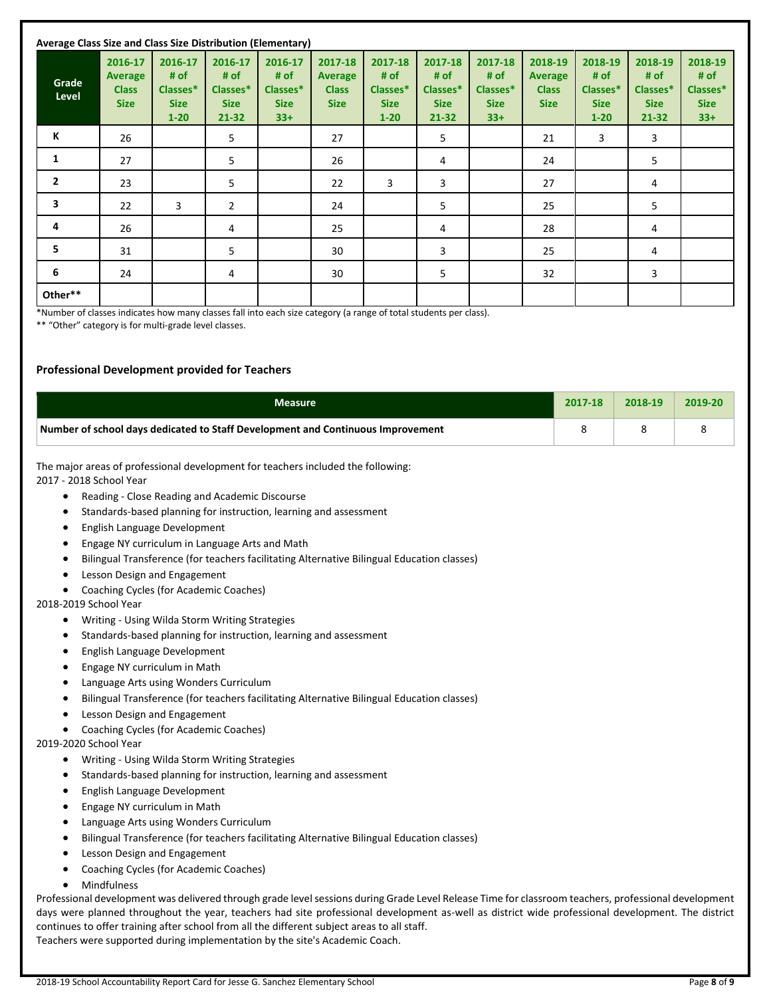|                | Average Class Size and Class Size Distribution (Elementary) |                                                        |                                                         |                                                     |                                                          |                                                        |                                                     |                                                     |                                                          |                                                        |                                                         |                                                     |
|----------------|-------------------------------------------------------------|--------------------------------------------------------|---------------------------------------------------------|-----------------------------------------------------|----------------------------------------------------------|--------------------------------------------------------|-----------------------------------------------------|-----------------------------------------------------|----------------------------------------------------------|--------------------------------------------------------|---------------------------------------------------------|-----------------------------------------------------|
| Grade<br>Level | 2016-17<br><b>Average</b><br><b>Class</b><br><b>Size</b>    | 2016-17<br># of<br>Classes*<br><b>Size</b><br>$1 - 20$ | 2016-17<br># of<br>Classes*<br><b>Size</b><br>$21 - 32$ | 2016-17<br># of<br>Classes*<br><b>Size</b><br>$33+$ | 2017-18<br><b>Average</b><br><b>Class</b><br><b>Size</b> | 2017-18<br># of<br>Classes*<br><b>Size</b><br>$1 - 20$ | 2017-18<br># of<br>Classes*<br><b>Size</b><br>21-32 | 2017-18<br># of<br>Classes*<br><b>Size</b><br>$33+$ | 2018-19<br><b>Average</b><br><b>Class</b><br><b>Size</b> | 2018-19<br># of<br>Classes*<br><b>Size</b><br>$1 - 20$ | 2018-19<br># of<br>Classes*<br><b>Size</b><br>$21 - 32$ | 2018-19<br># of<br>Classes*<br><b>Size</b><br>$33+$ |
| К              | 26                                                          |                                                        | 5                                                       |                                                     | 27                                                       |                                                        | 5                                                   |                                                     | 21                                                       | 3                                                      | 3                                                       |                                                     |
| $\mathbf{1}$   | 27                                                          |                                                        | 5                                                       |                                                     | 26                                                       |                                                        | 4                                                   |                                                     | 24                                                       |                                                        | 5                                                       |                                                     |
| $\overline{2}$ | 23                                                          |                                                        | 5                                                       |                                                     | 22                                                       | 3                                                      | 3                                                   |                                                     | 27                                                       |                                                        | 4                                                       |                                                     |
| 3              | 22                                                          | 3                                                      | $\overline{2}$                                          |                                                     | 24                                                       |                                                        | 5                                                   |                                                     | 25                                                       |                                                        | 5                                                       |                                                     |
| 4              | 26                                                          |                                                        | 4                                                       |                                                     | 25                                                       |                                                        | 4                                                   |                                                     | 28                                                       |                                                        | 4                                                       |                                                     |
| 5              | 31                                                          |                                                        | 5                                                       |                                                     | 30                                                       |                                                        | 3                                                   |                                                     | 25                                                       |                                                        | 4                                                       |                                                     |
| 6              | 24                                                          |                                                        | 4                                                       |                                                     | 30                                                       |                                                        | 5                                                   |                                                     | 32                                                       |                                                        | 3                                                       |                                                     |
| Other**        |                                                             |                                                        |                                                         |                                                     |                                                          |                                                        |                                                     |                                                     |                                                          |                                                        |                                                         |                                                     |

\*Number of classes indicates how many classes fall into each size category (a range of total students per class).

\*\* "Other" category is for multi-grade level classes.

## **Professional Development provided for Teachers**

| <b>Measure</b>                                                                                                                                                                                                                                   | 2017-18 | 2018-19 | 2019-20 |
|--------------------------------------------------------------------------------------------------------------------------------------------------------------------------------------------------------------------------------------------------|---------|---------|---------|
| Number of school days dedicated to Staff Development and Continuous Improvement                                                                                                                                                                  | 8       | 8       | 8       |
| The major areas of professional development for teachers included the following:<br>2017 - 2018 School Year                                                                                                                                      |         |         |         |
| Reading - Close Reading and Academic Discourse<br>٠                                                                                                                                                                                              |         |         |         |
| Standards-based planning for instruction, learning and assessment<br>٠                                                                                                                                                                           |         |         |         |
| English Language Development<br>٠                                                                                                                                                                                                                |         |         |         |
| Engage NY curriculum in Language Arts and Math                                                                                                                                                                                                   |         |         |         |
| Bilingual Transference (for teachers facilitating Alternative Bilingual Education classes)                                                                                                                                                       |         |         |         |
| Lesson Design and Engagement<br>٠                                                                                                                                                                                                                |         |         |         |
| Coaching Cycles (for Academic Coaches)<br>٠<br>2018-2019 School Year                                                                                                                                                                             |         |         |         |
| Writing - Using Wilda Storm Writing Strategies<br>٠                                                                                                                                                                                              |         |         |         |
| Standards-based planning for instruction, learning and assessment<br>٠                                                                                                                                                                           |         |         |         |
| English Language Development<br>٠                                                                                                                                                                                                                |         |         |         |
| Engage NY curriculum in Math<br>$\bullet$                                                                                                                                                                                                        |         |         |         |
| Language Arts using Wonders Curriculum<br>٠                                                                                                                                                                                                      |         |         |         |
| Bilingual Transference (for teachers facilitating Alternative Bilingual Education classes)<br>٠                                                                                                                                                  |         |         |         |
| Lesson Design and Engagement<br>٠                                                                                                                                                                                                                |         |         |         |
| Coaching Cycles (for Academic Coaches)<br>٠<br>2019-2020 School Year                                                                                                                                                                             |         |         |         |
| Writing - Using Wilda Storm Writing Strategies<br>٠                                                                                                                                                                                              |         |         |         |
| Standards-based planning for instruction, learning and assessment<br>٠                                                                                                                                                                           |         |         |         |
| English Language Development<br>٠                                                                                                                                                                                                                |         |         |         |
| Engage NY curriculum in Math<br>٠                                                                                                                                                                                                                |         |         |         |
| Language Arts using Wonders Curriculum<br>٠                                                                                                                                                                                                      |         |         |         |
| Bilingual Transference (for teachers facilitating Alternative Bilingual Education classes)                                                                                                                                                       |         |         |         |
| Lesson Design and Engagement                                                                                                                                                                                                                     |         |         |         |
| Coaching Cycles (for Academic Coaches)<br>٠                                                                                                                                                                                                      |         |         |         |
| Mindfulness<br>٠                                                                                                                                                                                                                                 |         |         |         |
| Professional development was delivered through grade level sessions during Grade Level Release Time for classroom teachers, professional development                                                                                             |         |         |         |
| days were planned throughout the year, teachers had site professional development as-well as district wide professional development. The district<br>continues to offer training after school from all the different subject areas to all staff. |         |         |         |
| Togchors ware supported during implementation by the site's Asadomic Coash                                                                                                                                                                       |         |         |         |

thers were supported during implementation by the site's Academic Coach.